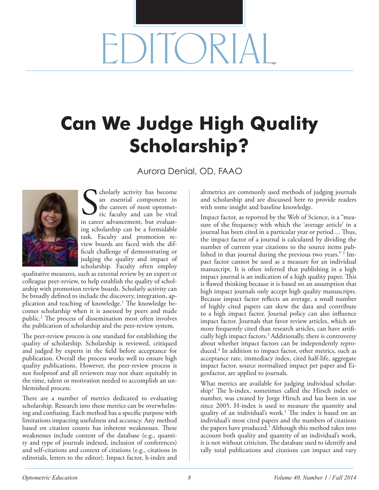## $\mathsf{ICR}$

## **Can We Judge High Quality Scholarship?**

Aurora Denial, OD, FAAO



cholarly activity has become an essential component in the careers of most optometric faculty and can be vital cholarly activity has become<br>an essential component in<br>the careers of most optomet-<br>ric faculty and can be vital<br>in career advancement, but evaluating scholarship can be a formidable task. Faculty and promotion review boards are faced with the difficult challenge of demonstrating or judging the quality and impact of scholarship. Faculty often employ

qualitative measures, such as external review by an expert or colleague peer-review, to help establish the quality of scholarship with promotion review boards. Scholarly activity can be broadly defined to include the discovery, integration, application and teaching of knowledge.1 The knowledge becomes scholarship when it is assessed by peers and made public.2 The process of dissemination most often involves the publication of scholarship and the peer-review system.

The peer-review process is one standard for establishing the quality of scholarship. Scholarship is reviewed, critiqued and judged by experts in the field before acceptance for publication. Overall the process works well to ensure high quality publications. However, the peer-review process is not foolproof and all reviewers may not share equitably in the time, talent or motivation needed to accomplish an unblemished process.

There are a number of metrics dedicated to evaluating scholarship. Research into these metrics can be overwhelming and confusing. Each method has a specific purpose with limitations impacting usefulness and accuracy. Any method based on citation counts has inherent weaknesses. These weaknesses include content of the database (e.g., quantity and type of journals indexed, inclusion of conferences) and self-citations and context of citations (e.g., citations in editorials, letters to the editor). Impact factor, h-index and

altmetrics are commonly used methods of judging journals and scholarship and are discussed here to provide readers with some insight and baseline knowledge.

Impact factor, as reported by the Web of Science, is a "measure of the frequency with which the 'average article' in a journal has been cited in a particular year or period ... Thus, the impact factor of a journal is calculated by dividing the number of current year citations to the source items published in that journal during the previous two years." 3 Impact factor cannot be used as a measure for an individual manuscript. It is often inferred that publishing in a high impact journal is an indication of a high quality paper. This is flawed thinking because it is based on an assumption that high impact journals only accept high quality manuscripts. Because impact factor reflects an average, a small number of highly cited papers can skew the data and contribute to a high impact factor. Journal policy can also influence impact factor. Journals that favor review articles, which are more frequently cited than research articles, can have artificially high impact factors.3 Additionally, there is controversy about whether impact factors can be independently reproduced.4 In addition to impact factor, other metrics, such as acceptance rate, immediacy index, cited half-life, aggregate impact factor, source normalized impact per paper and Eigenfactor, are applied to journals.

What metrics are available for judging individual scholarship? The h-index, sometimes called the Hirsch index or number, was created by Jorge Hirsch and has been in use since 2005. H-index is used to measure the quantity and quality of an individual's work.<sup>5</sup> The index is based on an individual's most cited papers and the numbers of citations the papers have produced.<sup>5</sup> Although this method takes into account both quality and quantity of an individual's work, it is not without criticism. The database used to identify and tally total publications and citations can impact and vary